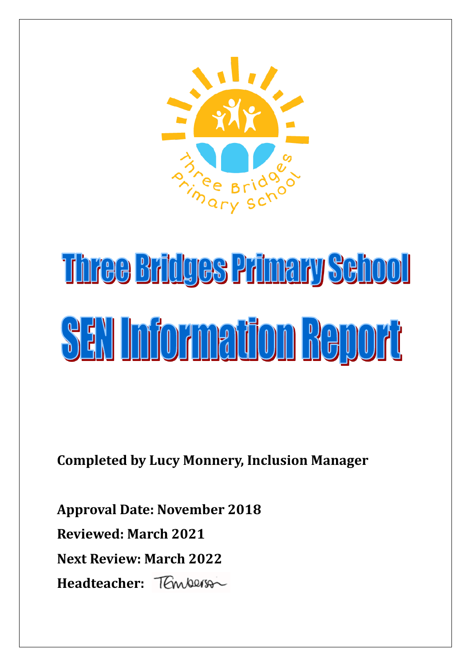

# Three Bridges Primary Sehool **SEN Information Report**

**Completed by Lucy Monnery, Inclusion Manager**

**Approval Date: November 2018 Reviewed: March 2021 Next Review: March 2022 Headteacher:**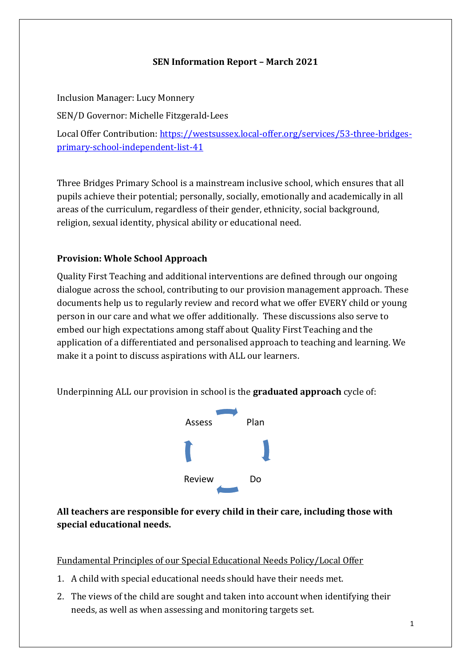#### **SEN Information Report – March 2021**

Inclusion Manager: Lucy Monnery SEN/D Governor: Michelle Fitzgerald-Lees Local Offer Contribution: [https://westsussex.local-offer.org/services/53-three-bridges](https://westsussex.local-offer.org/services/53-three-bridges-primary-school-independent-list-41)[primary-school-independent-list-41](https://westsussex.local-offer.org/services/53-three-bridges-primary-school-independent-list-41)

Three Bridges Primary School is a mainstream inclusive school, which ensures that all pupils achieve their potential; personally, socially, emotionally and academically in all areas of the curriculum, regardless of their gender, ethnicity, social background, religion, sexual identity, physical ability or educational need.

# **Provision: Whole School Approach**

Quality First Teaching and additional interventions are defined through our ongoing dialogue across the school, contributing to our provision management approach. These documents help us to regularly review and record what we offer EVERY child or young person in our care and what we offer additionally. These discussions also serve to embed our high expectations among staff about Quality First Teaching and the application of a differentiated and personalised approach to teaching and learning. We make it a point to discuss aspirations with ALL our learners.

Underpinning ALL our provision in school is the **graduated approach** cycle of:



# **All teachers are responsible for every child in their care, including those with special educational needs.**

Fundamental Principles of our Special Educational Needs Policy/Local Offer

- 1. A child with special educational needs should have their needs met.
- 2. The views of the child are sought and taken into account when identifying their needs, as well as when assessing and monitoring targets set.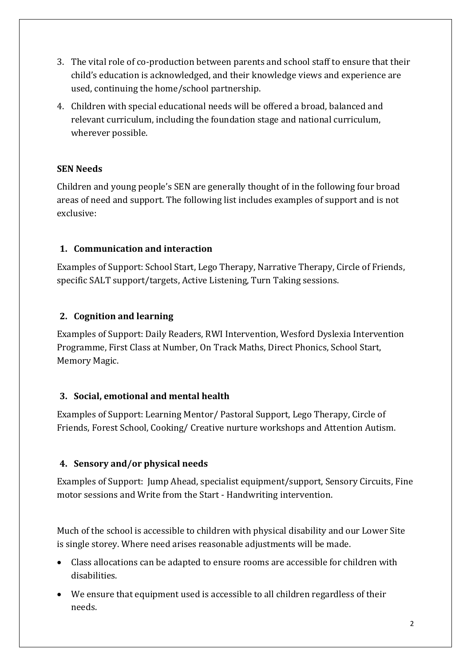- 3. The vital role of co-production between parents and school staff to ensure that their child's education is acknowledged, and their knowledge views and experience are used, continuing the home/school partnership.
- 4. Children with special educational needs will be offered a broad, balanced and relevant curriculum, including the foundation stage and national curriculum, wherever possible.

# **SEN Needs**

Children and young people's SEN are generally thought of in the following four broad areas of need and support. The following list includes examples of support and is not exclusive:

# **1. Communication and interaction**

Examples of Support: School Start, Lego Therapy, Narrative Therapy, Circle of Friends, specific SALT support/targets, Active Listening, Turn Taking sessions.

#### **2. Cognition and learning**

Examples of Support: Daily Readers, RWI Intervention, Wesford Dyslexia Intervention Programme, First Class at Number, On Track Maths, Direct Phonics, School Start, Memory Magic.

#### **3. Social, emotional and mental health**

Examples of Support: Learning Mentor/ Pastoral Support, Lego Therapy, Circle of Friends, Forest School, Cooking/ Creative nurture workshops and Attention Autism.

# **4. Sensory and/or physical needs**

Examples of Support: Jump Ahead, specialist equipment/support, Sensory Circuits, Fine motor sessions and Write from the Start - Handwriting intervention.

Much of the school is accessible to children with physical disability and our Lower Site is single storey. Where need arises reasonable adjustments will be made.

- Class allocations can be adapted to ensure rooms are accessible for children with disabilities.
- We ensure that equipment used is accessible to all children regardless of their needs.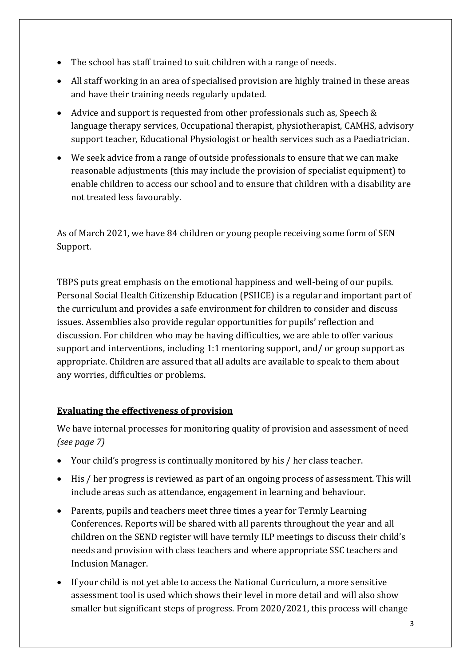- The school has staff trained to suit children with a range of needs.
- All staff working in an area of specialised provision are highly trained in these areas and have their training needs regularly updated.
- Advice and support is requested from other professionals such as, Speech & language therapy services, Occupational therapist, physiotherapist, CAMHS, advisory support teacher, Educational Physiologist or health services such as a Paediatrician.
- We seek advice from a range of outside professionals to ensure that we can make reasonable adjustments (this may include the provision of specialist equipment) to enable children to access our school and to ensure that children with a disability are not treated less favourably.

As of March 2021, we have 84 children or young people receiving some form of SEN Support.

TBPS puts great emphasis on the emotional happiness and well-being of our pupils. Personal Social Health Citizenship Education (PSHCE) is a regular and important part of the curriculum and provides a safe environment for children to consider and discuss issues. Assemblies also provide regular opportunities for pupils' reflection and discussion. For children who may be having difficulties, we are able to offer various support and interventions, including 1:1 mentoring support, and/ or group support as appropriate. Children are assured that all adults are available to speak to them about any worries, difficulties or problems.

# **Evaluating the effectiveness of provision**

We have internal processes for monitoring quality of provision and assessment of need *(see page 7)*

- Your child's progress is continually monitored by his / her class teacher.
- His / her progress is reviewed as part of an ongoing process of assessment. This will include areas such as attendance, engagement in learning and behaviour.
- Parents, pupils and teachers meet three times a year for Termly Learning Conferences. Reports will be shared with all parents throughout the year and all children on the SEND register will have termly ILP meetings to discuss their child's needs and provision with class teachers and where appropriate SSC teachers and Inclusion Manager.
- If your child is not yet able to access the National Curriculum, a more sensitive assessment tool is used which shows their level in more detail and will also show smaller but significant steps of progress. From 2020/2021, this process will change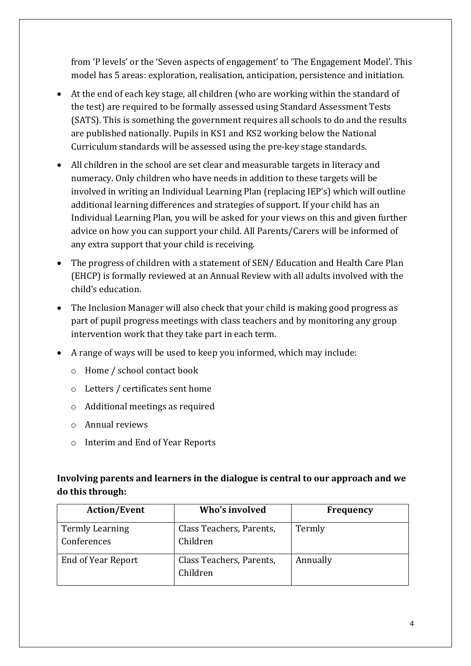from 'P levels' or the 'Seven aspects of engagement' to 'The Engagement Model'. This model has 5 areas: exploration, realisation, anticipation, persistence and initiation.

- At the end of each key stage, all children (who are working within the standard of the test) are required to be formally assessed using Standard Assessment Tests (SATS). This is something the government requires all schools to do and the results are published nationally. Pupils in KS1 and KS2 working below the National Curriculum standards will be assessed using the pre-key stage standards.
- All children in the school are set clear and measurable targets in literacy and numeracy. Only children who have needs in addition to these targets will be involved in writing an Individual Learning Plan (replacing IEP's) which will outline additional learning differences and strategies of support. If your child has an Individual Learning Plan, you will be asked for your views on this and given further advice on how you can support your child. All Parents/Carers will be informed of any extra support that your child is receiving.
- The progress of children with a statement of SEN/ Education and Health Care Plan (EHCP) is formally reviewed at an Annual Review with all adults involved with the child's education.
- The Inclusion Manager will also check that your child is making good progress as part of pupil progress meetings with class teachers and by monitoring any group intervention work that they take part in each term.
- A range of ways will be used to keep you informed, which may include:
	- o Home / school contact book
	- o Letters / certificates sent home
	- o Additional meetings as required
	- o Annual reviews
	- o Interim and End of Year Reports

# **Involving parents and learners in the dialogue is central to our approach and we do this through:**

| <b>Action/Event</b>                   | Who's involved                       | <b>Frequency</b> |
|---------------------------------------|--------------------------------------|------------------|
| <b>Termly Learning</b><br>Conferences | Class Teachers, Parents,<br>Children | Termly           |
| End of Year Report                    | Class Teachers, Parents,<br>Children | Annually         |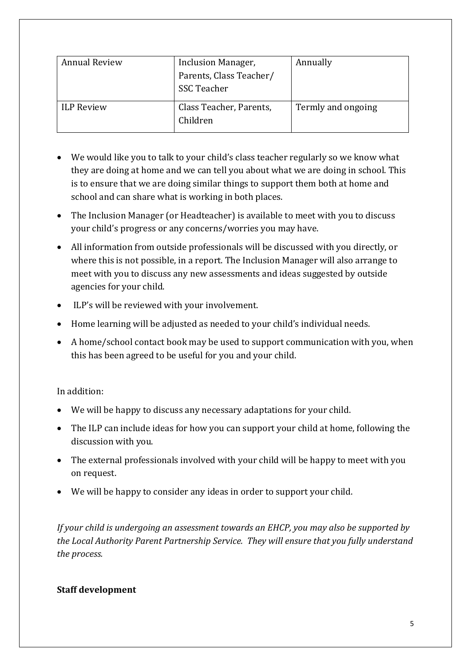| <b>Annual Review</b> | Inclusion Manager,<br>Parents, Class Teacher/<br>SSC Teacher | Annually           |
|----------------------|--------------------------------------------------------------|--------------------|
| <b>ILP Review</b>    | Class Teacher, Parents,<br>Children                          | Termly and ongoing |

- We would like you to talk to your child's class teacher regularly so we know what they are doing at home and we can tell you about what we are doing in school. This is to ensure that we are doing similar things to support them both at home and school and can share what is working in both places.
- The Inclusion Manager (or Headteacher) is available to meet with you to discuss your child's progress or any concerns/worries you may have.
- All information from outside professionals will be discussed with you directly, or where this is not possible, in a report. The Inclusion Manager will also arrange to meet with you to discuss any new assessments and ideas suggested by outside agencies for your child.
- ILP's will be reviewed with your involvement.
- Home learning will be adjusted as needed to your child's individual needs.
- A home/school contact book may be used to support communication with you, when this has been agreed to be useful for you and your child.

#### In addition:

- We will be happy to discuss any necessary adaptations for your child.
- The ILP can include ideas for how you can support your child at home, following the discussion with you.
- The external professionals involved with your child will be happy to meet with you on request.
- We will be happy to consider any ideas in order to support your child.

*If your child is undergoing an assessment towards an EHCP, you may also be supported by the Local Authority Parent Partnership Service. They will ensure that you fully understand the process.*

#### **Staff development**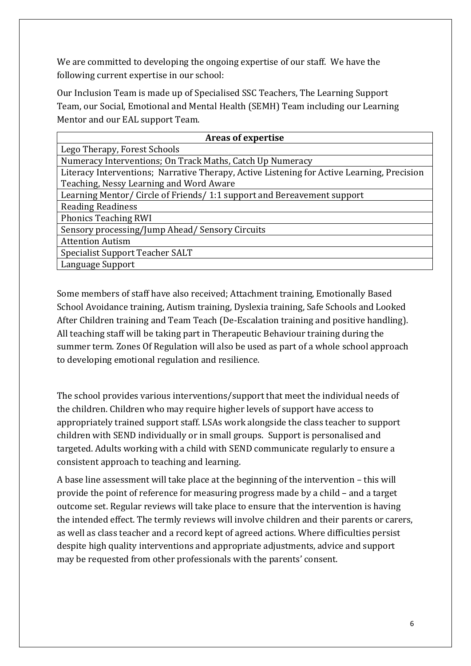We are committed to developing the ongoing expertise of our staff. We have the following current expertise in our school:

Our Inclusion Team is made up of Specialised SSC Teachers, The Learning Support Team, our Social, Emotional and Mental Health (SEMH) Team including our Learning Mentor and our EAL support Team.

| Areas of expertise                                                                         |  |  |
|--------------------------------------------------------------------------------------------|--|--|
| Lego Therapy, Forest Schools                                                               |  |  |
| Numeracy Interventions; On Track Maths, Catch Up Numeracy                                  |  |  |
| Literacy Interventions; Narrative Therapy, Active Listening for Active Learning, Precision |  |  |
| Teaching, Nessy Learning and Word Aware                                                    |  |  |
| Learning Mentor/ Circle of Friends/ 1:1 support and Bereavement support                    |  |  |
| <b>Reading Readiness</b>                                                                   |  |  |
| <b>Phonics Teaching RWI</b>                                                                |  |  |
| Sensory processing/Jump Ahead/ Sensory Circuits                                            |  |  |
| <b>Attention Autism</b>                                                                    |  |  |
| Specialist Support Teacher SALT                                                            |  |  |
| Language Support                                                                           |  |  |

Some members of staff have also received; Attachment training, Emotionally Based School Avoidance training, Autism training, Dyslexia training, Safe Schools and Looked After Children training and Team Teach (De-Escalation training and positive handling). All teaching staff will be taking part in Therapeutic Behaviour training during the summer term. Zones Of Regulation will also be used as part of a whole school approach to developing emotional regulation and resilience.

The school provides various interventions/support that meet the individual needs of the children. Children who may require higher levels of support have access to appropriately trained support staff. LSAs work alongside the class teacher to support children with SEND individually or in small groups. Support is personalised and targeted. Adults working with a child with SEND communicate regularly to ensure a consistent approach to teaching and learning.

A base line assessment will take place at the beginning of the intervention – this will provide the point of reference for measuring progress made by a child – and a target outcome set. Regular reviews will take place to ensure that the intervention is having the intended effect. The termly reviews will involve children and their parents or carers, as well as class teacher and a record kept of agreed actions. Where difficulties persist despite high quality interventions and appropriate adjustments, advice and support may be requested from other professionals with the parents' consent.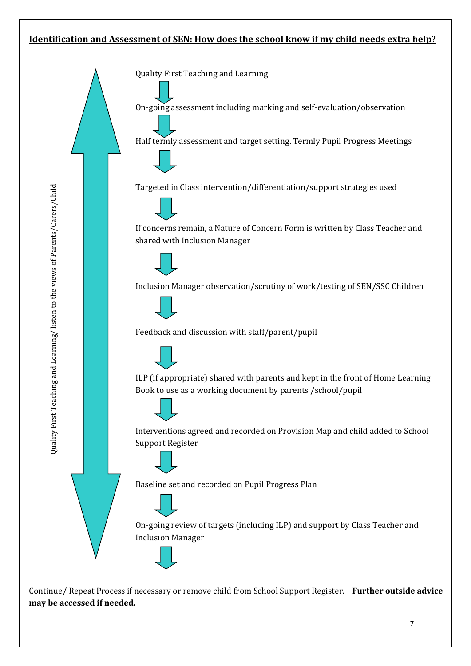## **Identification and Assessment of SEN: How does the school know if my child needs extra help?**



Continue/ Repeat Process if necessary or remove child from School Support Register. **Further outside advice**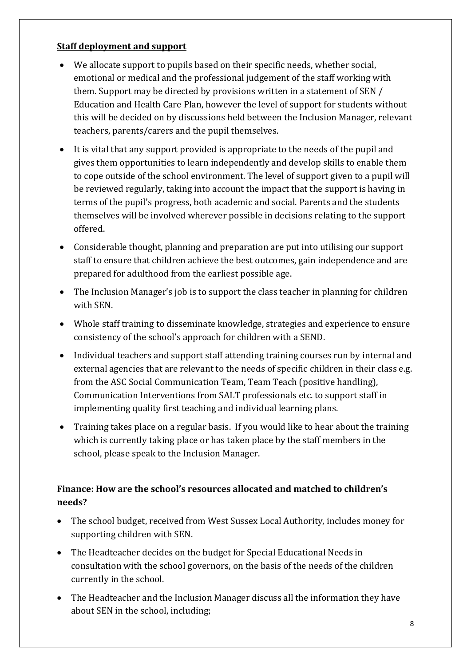# **Staff deployment and support**

- We allocate support to pupils based on their specific needs, whether social, emotional or medical and the professional judgement of the staff working with them. Support may be directed by provisions written in a statement of SEN / Education and Health Care Plan, however the level of support for students without this will be decided on by discussions held between the Inclusion Manager, relevant teachers, parents/carers and the pupil themselves.
- It is vital that any support provided is appropriate to the needs of the pupil and gives them opportunities to learn independently and develop skills to enable them to cope outside of the school environment. The level of support given to a pupil will be reviewed regularly, taking into account the impact that the support is having in terms of the pupil's progress, both academic and social. Parents and the students themselves will be involved wherever possible in decisions relating to the support offered.
- Considerable thought, planning and preparation are put into utilising our support staff to ensure that children achieve the best outcomes, gain independence and are prepared for adulthood from the earliest possible age.
- The Inclusion Manager's job is to support the class teacher in planning for children with SEN.
- Whole staff training to disseminate knowledge, strategies and experience to ensure consistency of the school's approach for children with a SEND.
- Individual teachers and support staff attending training courses run by internal and external agencies that are relevant to the needs of specific children in their class e.g. from the ASC Social Communication Team, Team Teach (positive handling), Communication Interventions from SALT professionals etc. to support staff in implementing quality first teaching and individual learning plans.
- Training takes place on a regular basis. If you would like to hear about the training which is currently taking place or has taken place by the staff members in the school, please speak to the Inclusion Manager.

# **Finance: How are the school's resources allocated and matched to children's needs?**

- The school budget, received from West Sussex Local Authority, includes money for supporting children with SEN.
- The Headteacher decides on the budget for Special Educational Needs in consultation with the school governors, on the basis of the needs of the children currently in the school.
- The Headteacher and the Inclusion Manager discuss all the information they have about SEN in the school, including;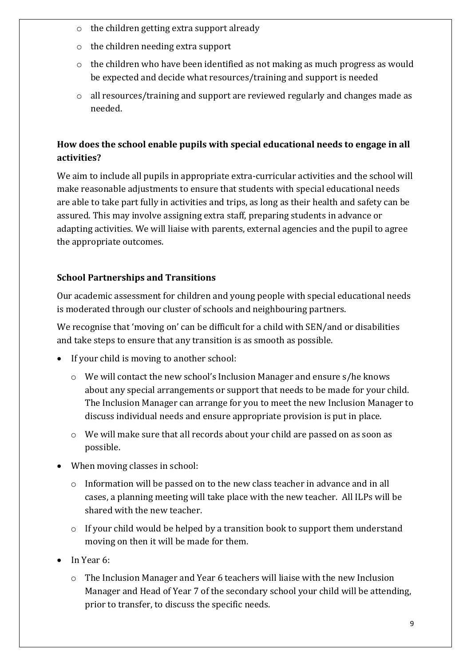- o the children getting extra support already
- o the children needing extra support
- o the children who have been identified as not making as much progress as would be expected and decide what resources/training and support is needed
- o all resources/training and support are reviewed regularly and changes made as needed.

# **How does the school enable pupils with special educational needs to engage in all activities?**

We aim to include all pupils in appropriate extra-curricular activities and the school will make reasonable adjustments to ensure that students with special educational needs are able to take part fully in activities and trips, as long as their health and safety can be assured. This may involve assigning extra staff, preparing students in advance or adapting activities. We will liaise with parents, external agencies and the pupil to agree the appropriate outcomes.

# **School Partnerships and Transitions**

Our academic assessment for children and young people with special educational needs is moderated through our cluster of schools and neighbouring partners.

We recognise that 'moving on' can be difficult for a child with SEN/and or disabilities and take steps to ensure that any transition is as smooth as possible.

- If your child is moving to another school:
	- o We will contact the new school's Inclusion Manager and ensure s/he knows about any special arrangements or support that needs to be made for your child. The Inclusion Manager can arrange for you to meet the new Inclusion Manager to discuss individual needs and ensure appropriate provision is put in place.
	- o We will make sure that all records about your child are passed on as soon as possible.
- When moving classes in school:
	- o Information will be passed on to the new class teacher in advance and in all cases, a planning meeting will take place with the new teacher. All ILPs will be shared with the new teacher.
	- o If your child would be helped by a transition book to support them understand moving on then it will be made for them.
- In Year 6:
	- o The Inclusion Manager and Year 6 teachers will liaise with the new Inclusion Manager and Head of Year 7 of the secondary school your child will be attending, prior to transfer, to discuss the specific needs.